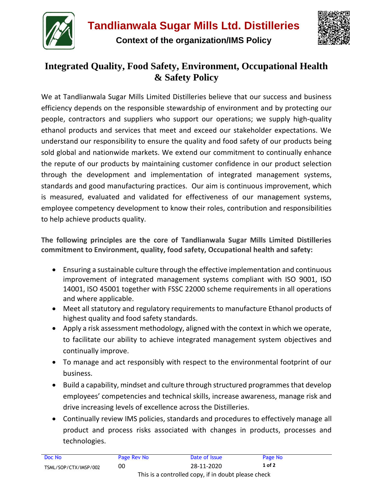

**Context of the organization/IMS Policy**



## **Integrated Quality, Food Safety, Environment, Occupational Health & Safety Policy**

We at Tandlianwala Sugar Mills Limited Distilleries believe that our success and business efficiency depends on the responsible stewardship of environment and by protecting our people, contractors and suppliers who support our operations; we supply high-quality ethanol products and services that meet and exceed our stakeholder expectations. We understand our responsibility to ensure the quality and food safety of our products being sold global and nationwide markets. We extend our commitment to continually enhance the repute of our products by maintaining customer confidence in our product selection through the development and implementation of integrated management systems, standards and good manufacturing practices. Our aim is continuous improvement, which is measured, evaluated and validated for effectiveness of our management systems, employee competency development to know their roles, contribution and responsibilities to help achieve products quality.

**The following principles are the core of Tandlianwala Sugar Mills Limited Distilleries commitment to Environment, quality, food safety, Occupational health and safety:**

- Ensuring a sustainable culture through the effective implementation and continuous improvement of integrated management systems compliant with ISO 9001, ISO 14001, ISO 45001 together with FSSC 22000 scheme requirements in all operations and where applicable.
- Meet all statutory and regulatory requirements to manufacture Ethanol products of highest quality and food safety standards.
- Apply a risk assessment methodology, aligned with the context in which we operate, to facilitate our ability to achieve integrated management system objectives and continually improve.
- To manage and act responsibly with respect to the environmental footprint of our business.
- Build a capability, mindset and culture through structured programmes that develop employees' competencies and technical skills, increase awareness, manage risk and drive increasing levels of excellence across the Distilleries.
- Continually review IMS policies, standards and procedures to effectively manage all product and process risks associated with changes in products, processes and technologies.